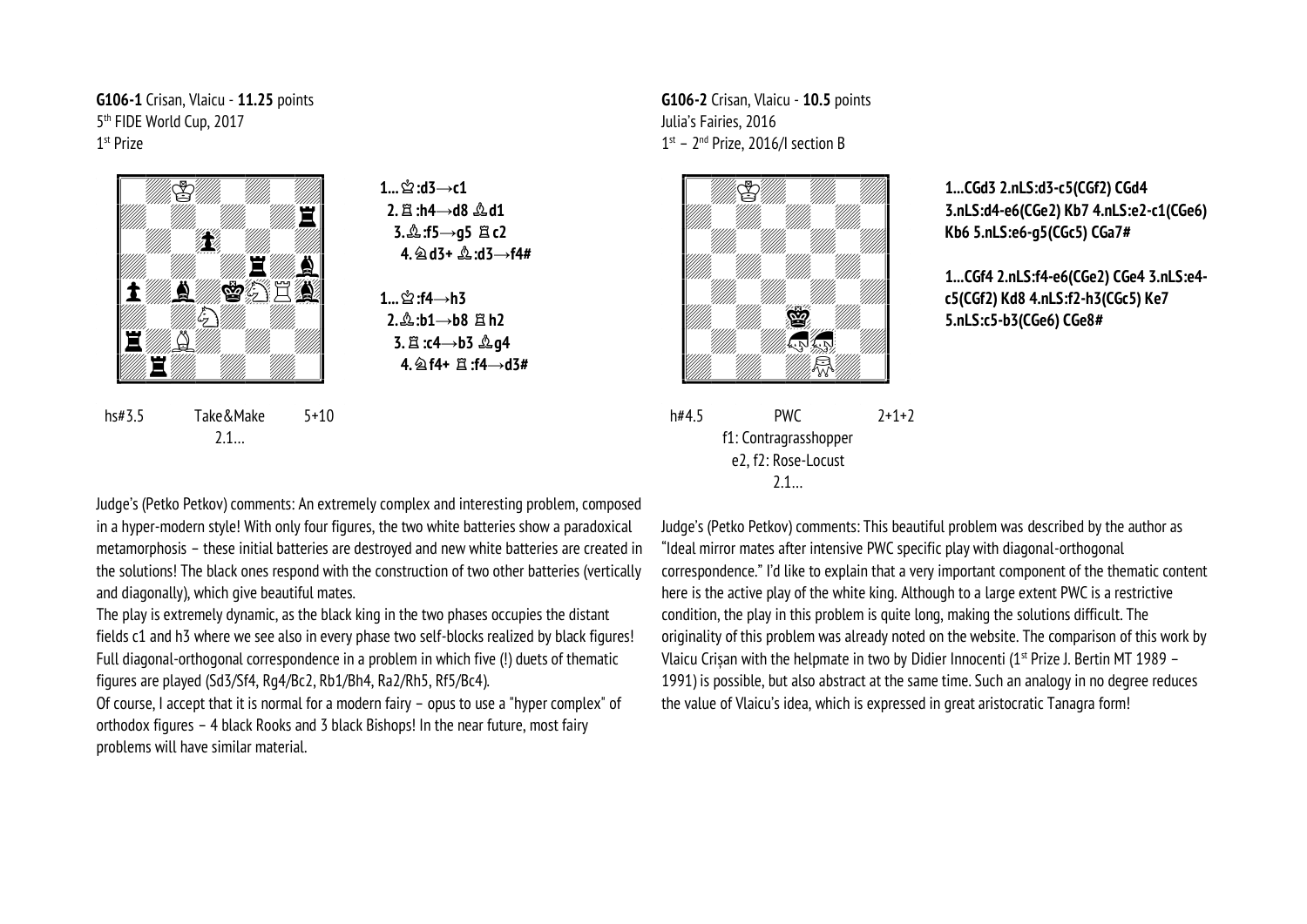**G106-1** Crisan, Vlaicu - **11.25** points 5 th FIDE World Cup, 2017 1 st Prize



hs#3.5 Take&Make 2.1…

 $1 \dots \hat{1}$ :d3→**c1 2.**q**:h4→d8** o**d1 3.**o**:f5→g5** q**c2 4.**m**d3+** o**:d3→f4#**

**1...**  $\mathbf{L}$ <sup>2</sup> : **f4**→**h3**  $2.\&$ **:b1→b8**  $\&$  **h2 3.**q**:c4→b3** o**g4 4.**m**f4+** q**:f4→d3#**

5+10

**G106-2** Crisan, Vlaicu - **10.5** points Julia's Fairies, 2016  $1<sup>st</sup>$  –  $2<sup>nd</sup>$  Prize, 2016/I section B



h#4.5 PWC f1: Contragrasshopper e2, f2: Rose-Locust 2.1… 2+1+2

**1...CGd3 2.nLS:d3-c5(CGf2) CGd4 3.nLS:d4-e6(CGe2) Kb7 4.nLS:e2-c1(CGe6) Kb6 5.nLS:e6-g5(CGc5) CGa7#**

**1...CGf4 2.nLS:f4-e6(CGe2) CGe4 3.nLS:e4 c5(CGf2) Kd8 4.nLS:f2-h3(CGc5) Ke7 5.nLS:c5-b3(CGe6) CGe8#**

Judge's (Petko Petkov) comments: An extremely complex and interesting problem, composed in a hyper-modern style! With only four figures, the two white batteries show a paradoxical metamorphosis – these initial batteries are destroyed and new white batteries are created in the solutions! The black ones respond with the construction of two other batteries (vertically and diagonally), which give beautiful mates.

The play is extremely dynamic, as the black king in the two phases occupies the distant fields c1 and h3 where we see also in every phase two self-blocks realized by black figures! Full diagonal-orthogonal correspondence in a problem in which five (!) duets of thematic figures are played (Sd3/Sf4, Rg4/Bc2, Rb1/Bh4, Ra2/Rh5, Rf5/Bc4).

Of course, I accept that it is normal for a modern fairy – opus to use a "hyper complex" of orthodox figures – 4 black Rooks and 3 black Bishops! In the near future, most fairy problems will have similar material.

Judge's (Petko Petkov) comments: This beautiful problem was described by the author as "Ideal mirror mates after intensive PWC specific play with diagonal-orthogonal correspondence." I'd like to explain that a very important component of the thematic content here is the active play of the white king. Although to a large extent PWC is a restrictive condition, the play in this problem is quite long, making the solutions difficult. The originality of this problem was already noted on the website. The comparison of this work by Vlaicu Crisan with the helpmate in two by Didier Innocenti ( $1<sup>st</sup>$  Prize J. Bertin MT 1989 – 1991) is possible, but also abstract at the same time. Such an analogy in no degree reduces the value of Vlaicu's idea, which is expressed in great aristocratic Tanagra form!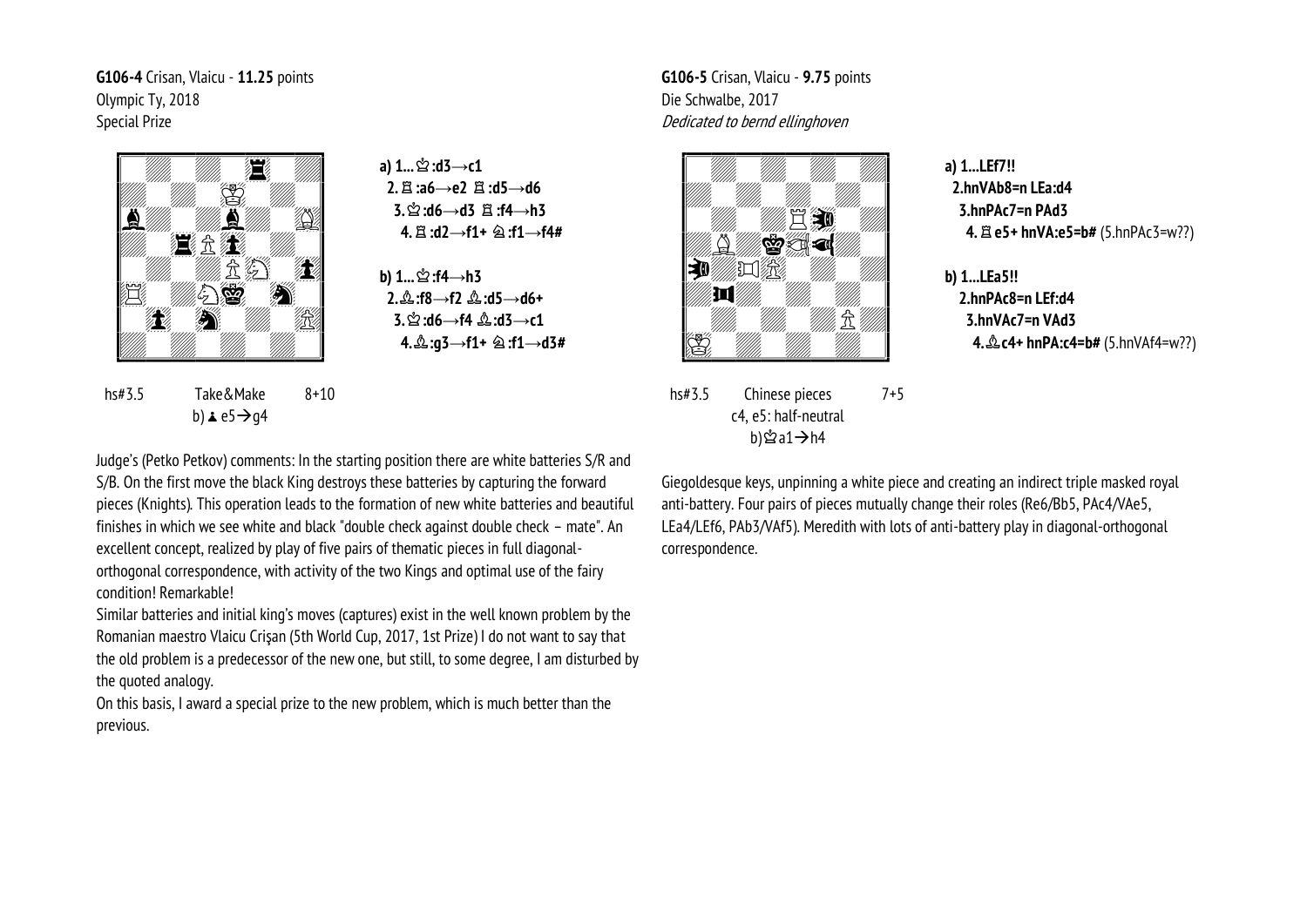**G106-4** Crisan, Vlaicu - **11.25** points Olympic Ty, 2018 Special Prize



**a**) 1...  $\stackrel{A}{\simeq}$  :d3→**c1 2.**q**:a6→e2** q**:d5→d6 3.**u**:d6→d3** q**:f4→h3 4.**q**:d2→f1+** m**:f1→f4#**

**b)** 1...  $\stackrel{.}{\cong}$ :f4→h3  **2.**o**:f8→f2** o**:d5→d6+ 3.**u**:d6→f4** o**:d3→c1 4.**o**:g3→f1+** m**:f1→d3#**

hs#3.5 Take&Make b)  $\angle$  e5  $\rightarrow$  q4 8+10

**G106-5** Crisan, Vlaicu - **9.75** points Die Schwalbe, 2017 Dedicated to bernd ellinghoven



hs#3.5 Chinese pieces c4, e5: half-neutral b)≌a1→h4 7+5 **a) 1...LEf7!! 2.hnVAb8=n LEa:d4 3.hnPAc7=n PAd3 4.**q**e5+ hnVA:e5=b#** (5.hnPAc3=w??)

**b) 1...LEa5!! 2.hnPAc8=n LEf:d4 3.hnVAc7=n VAd3 4.**  $\& c4+$  hnPA:c4=b# (5.hnVAf4=w??)

Judge's (Petko Petkov) comments: In the starting position there are white batteries S/R and S/B. On the first move the black King destroys these batteries by capturing the forward pieces (Knights). This operation leads to the formation of new white batteries and beautiful finishes in which we see white and black "double check against double check – mate". An excellent concept, realized by play of five pairs of thematic pieces in full diagonalorthogonal correspondence, with activity of the two Kings and optimal use of the fairy condition! Remarkable!

Similar batteries and initial king's moves (captures) exist in the well known problem by the Romanian maestro Vlaicu Crişan (5th World Cup, 2017, 1st Prize) I do not want to say that the old problem is a predecessor of the new one, but still, to some degree, I am disturbed by the quoted analogy.

On this basis, I award a special prize to the new problem, which is much better than the previous.

Giegoldesque keys, unpinning a white piece and creating an indirect triple masked royal anti-battery. Four pairs of pieces mutually change their roles (Re6/Bb5, PAc4/VAe5, LEa4/LEf6, PAb3/VAf5). Meredith with lots of anti-battery play in diagonal-orthogonal correspondence.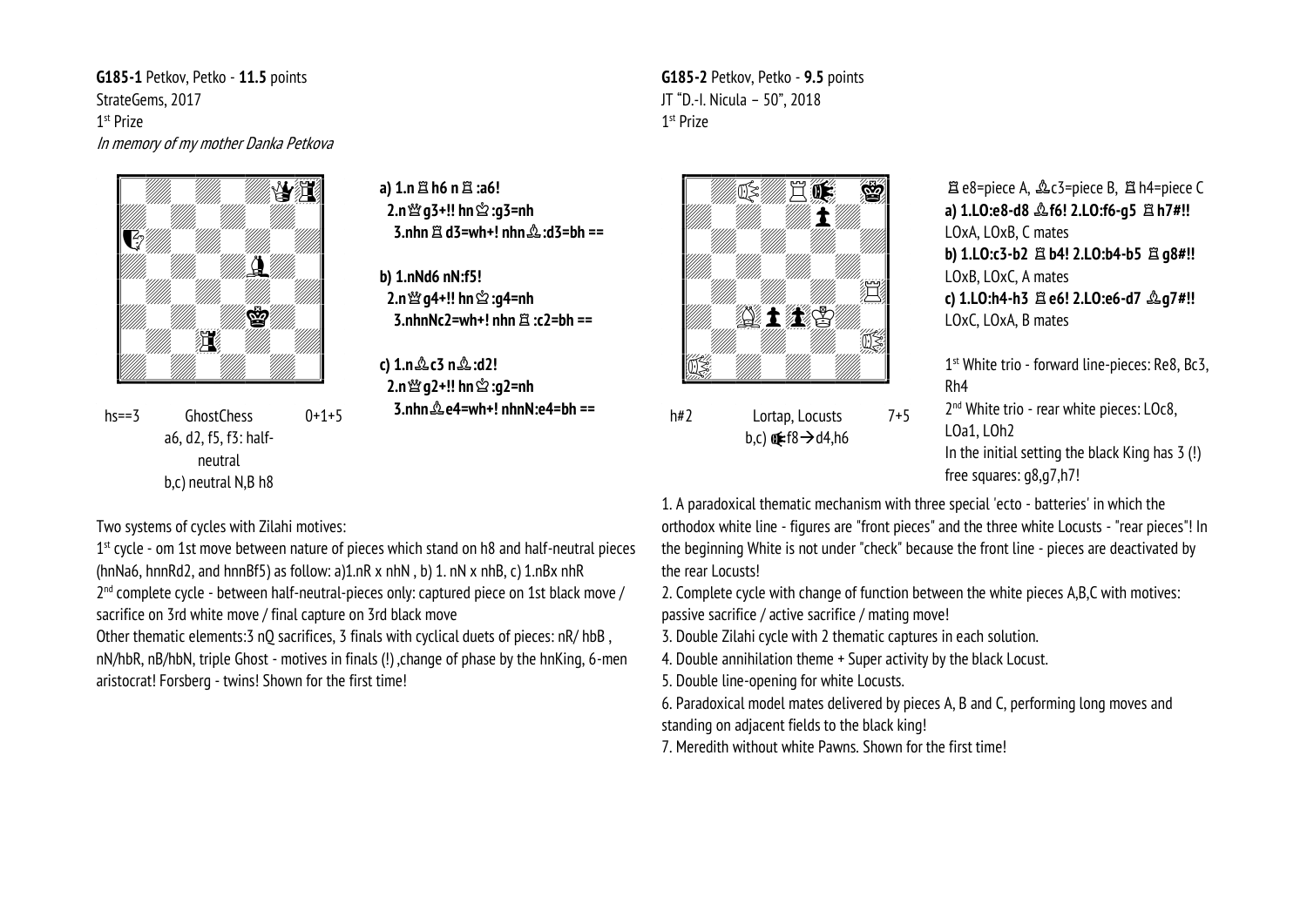G185-1 Petkov, Petko - 11.5 points StrateGems, 2017 1<sup>st</sup> Prize In memory of my mother Danka Petkova



**GhostChess**  $0+1+5$  $hs = 3$ a6, d2, f5, f3: halfneutral b.c) neutral N.B h8

a)  $1 \text{ m} \boxtimes \text{ h}6 \text{ m} \boxtimes \text{ :a6!}$ 3.nhn  $\hat{z}$  d3=wh+! nhn  $\hat{z}$  :d3=bh ==

b) 1.nNd6 nN:f5! 2.n  $\mathfrak{B}$  a4+!! hn  $\mathfrak{B}$  :a4=nh  $3$  nhnNc $2$ =wh+ $1$  nhn  $\mathbb{H}$  ·c $2$ =hh ==

c)  $1 \text{ m} \& c3 \text{ m} \& c12!$ 2.n  $\mathfrak{B}$  a2+!! hn  $\mathfrak{B}$  :a2=nh  $3 \text{ nhn} \triangle \rho 4 = wh + 1 \text{ nhnN} \cdot \rho 4 = hh$ 



G185-2 Petkov, Petko - 9.5 points

JT "D.-I. Nicula - 50", 2018

1<sup>st</sup> Prize

 $h#2$ Lortap, Locusts  $7 + 5$ b,c)  $(f8 \rightarrow d4, h6)$ 

置 e8=piece A,  $\triangle$ c3=piece B,  $\triangle$  h4=piece C a) 1.LO:e8-d8  $\triangle$  f6! 2.LO:f6-g5  $\triangle$  h7#!! LOxA, LOxB, C mates b) 1.LO:c3-b2  $\Xi$  b4! 2.LO:b4-b5  $\Xi$  g8#!! LOxB, LOxC, A mates c) 1.LO:h4-h3 耳e6! 2.LO:e6-d7 2g7#!! LOxC, LOxA, B mates

1<sup>st</sup> White trio - forward line-pieces: Re8, Bc3,  $Rh4$ 

2<sup>nd</sup> White trio - rear white pieces: LOc8,  $10a1.10h$ In the initial setting the black King has 3 (!) free squares: q8,q7,h7!

Two systems of cycles with Zilahi motives:

 $1<sup>st</sup>$  cycle - om 1st move between nature of pieces which stand on h8 and half-neutral pieces (hnNa6, hnnRd2, and hnnBf5) as follow: a)1.nR  $x$  nhN, b) 1, nN  $x$  nhB, c) 1.nB $x$  nhR 2<sup>nd</sup> complete cycle - between half-neutral-pieces only: captured piece on 1st black move / sacrifice on 3rd white move / final capture on 3rd black move

Other thematic elements: 3 nO sacrifices, 3 finals with cyclical duets of pieces: nR/hbB, nN/hbR, nB/hbN, triple Ghost - motives in finals (!), change of phase by the hnKing, 6-men aristocrat! Forsberg - twins! Shown for the first time!

1. A paradoxical thematic mechanism with three special 'ecto - batteries' in which the orthodox white line - figures are "front pieces" and the three white Locusts - "rear pieces"! In the beginning White is not under "check" because the front line - pieces are deactivated by the rear Locusts!

2. Complete cycle with change of function between the white pieces A.B.C with motives: passive sacrifice / active sacrifice / mating move!

3. Double Zilahi cycle with 2 thematic captures in each solution.

4. Double annihilation theme + Super activity by the black Locust.

5. Double line-opening for white Locusts.

6. Paradoxical model mates delivered by pieces A, B and C, performing long moves and standing on adjacent fields to the black king!

7. Meredith without white Pawns. Shown for the first time!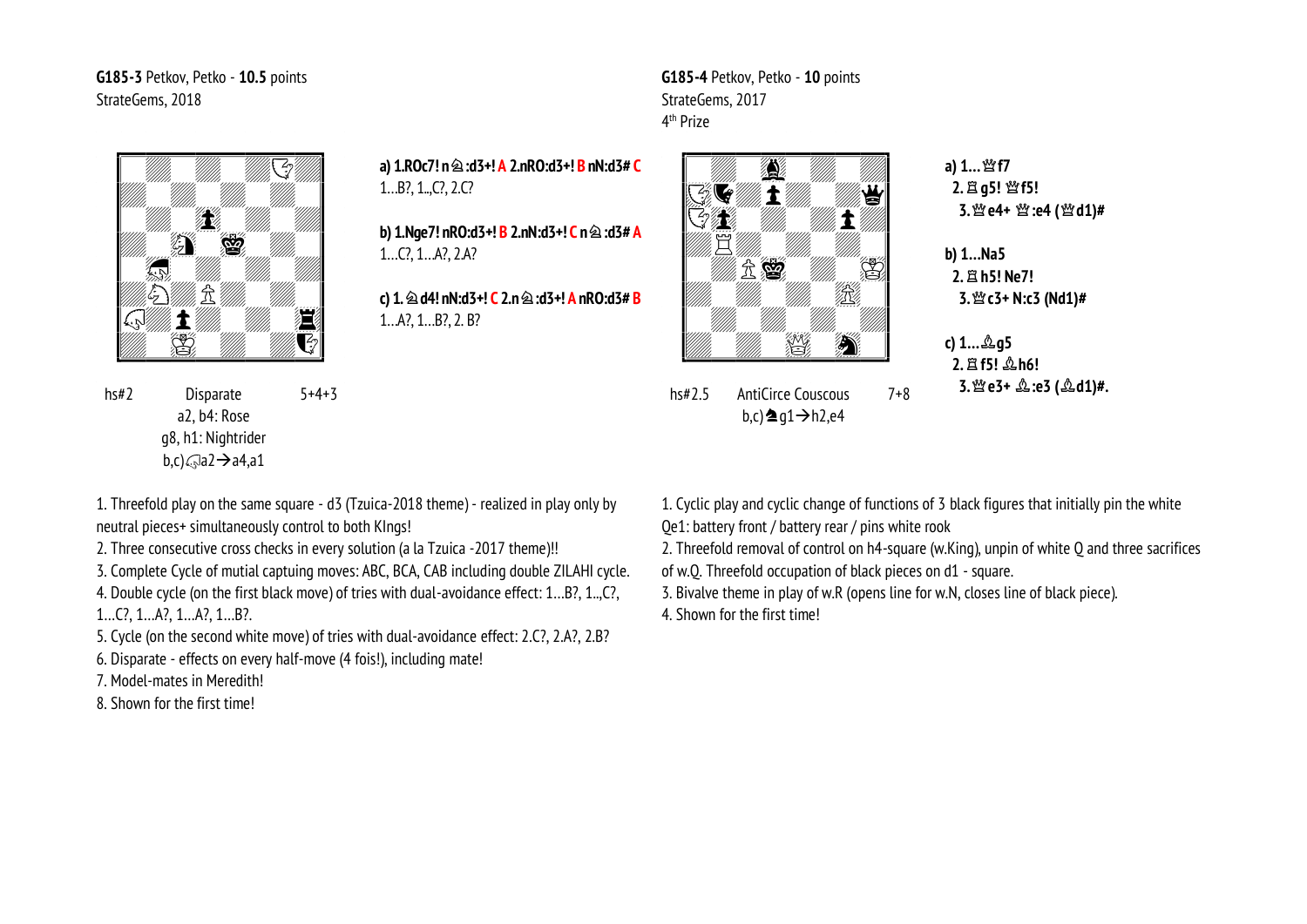G185-3 Petkov, Petko - 10.5 points StrateGems, 2018



a) 1.ROc7! n  $\hat{\otimes}$ :d3+! A 2.nRO:d3+! B nN:d3# C  $1...B$ ?,  $1...($ ?,  $2.C$ ?

b) 1.Nge7! nRO:d3+! B 2.nN:d3+! C n  $\hat{\otimes}$  :d3# A  $1...C$ ,  $1...A$ ?,  $2.A$ ?

c) 1.  $\hat{\otimes}$  d4! nN:d3+! C 2.n  $\hat{\otimes}$  :d3+! A nRO:d3# B  $1...A$ ?,  $1...B$ ?,  $2.B$ ?



G185-4 Petkov, Petko - 10 points

StrateGems, 2017

4<sup>th</sup> Prize

**AntiCirce Couscous**  $hs#2.5$  $7 + 8$  $b, c$ )  $\triangleq q1 \rightarrow h2, e4$ 

a) 1... 營f7 2. 且 q5! 營f5! 3. 營 e4+ 暨 :e4 (營 d1)#

 $b)$  1... $Na5$ 2. 且 h5! Ne7! 3. 營 c3+ N:c3 (Nd1)#

c) 1... \$g5 2. 耳f5! 2h6! 3. 營 e3+  $\triangle$ :e3 ( $\triangle$ d1)#.

 $hs#2$ Disparate  $5 + 4 + 3$ a2. b4: Rose q8, h1: Nightrider b,c) $\bigcirc$ a2 $\rightarrow$ a4,a1

1. Threefold play on the same square - d3 (Tzuica-2018 theme) - realized in play only by neutral pieces+ simultaneously control to both KIngs!

2. Three consecutive cross checks in every solution (a la Tzuica -2017 theme)!!

3. Complete Cycle of mutial captuing moves: ABC, BCA, CAB including double ZILAHI cycle. 4. Double cycle (on the first black move) of tries with dual-avoidance effect: 1...B?. 1...C?.

 $1...C$ ,  $1...A$ ,  $1...A$ ,  $1...B$ ,

5. Cycle (on the second white move) of tries with dual-avoidance effect: 2.C?, 2.A?, 2.B?

6. Disparate - effects on every half-move (4 fois!), including mate!

7. Model-mates in Meredith!

8. Shown for the first time!

1. Cyclic play and cyclic change of functions of 3 black figures that initially pin the white Oe1: battery front / battery rear / pins white rook

2. Threefold removal of control on h4-square (w.King), unpin of white O and three sacrifices

of w.O. Threefold occupation of black pieces on d1 - square.

3. Bivalve theme in play of w.R (opens line for w.N, closes line of black piece).

4. Shown for the first time!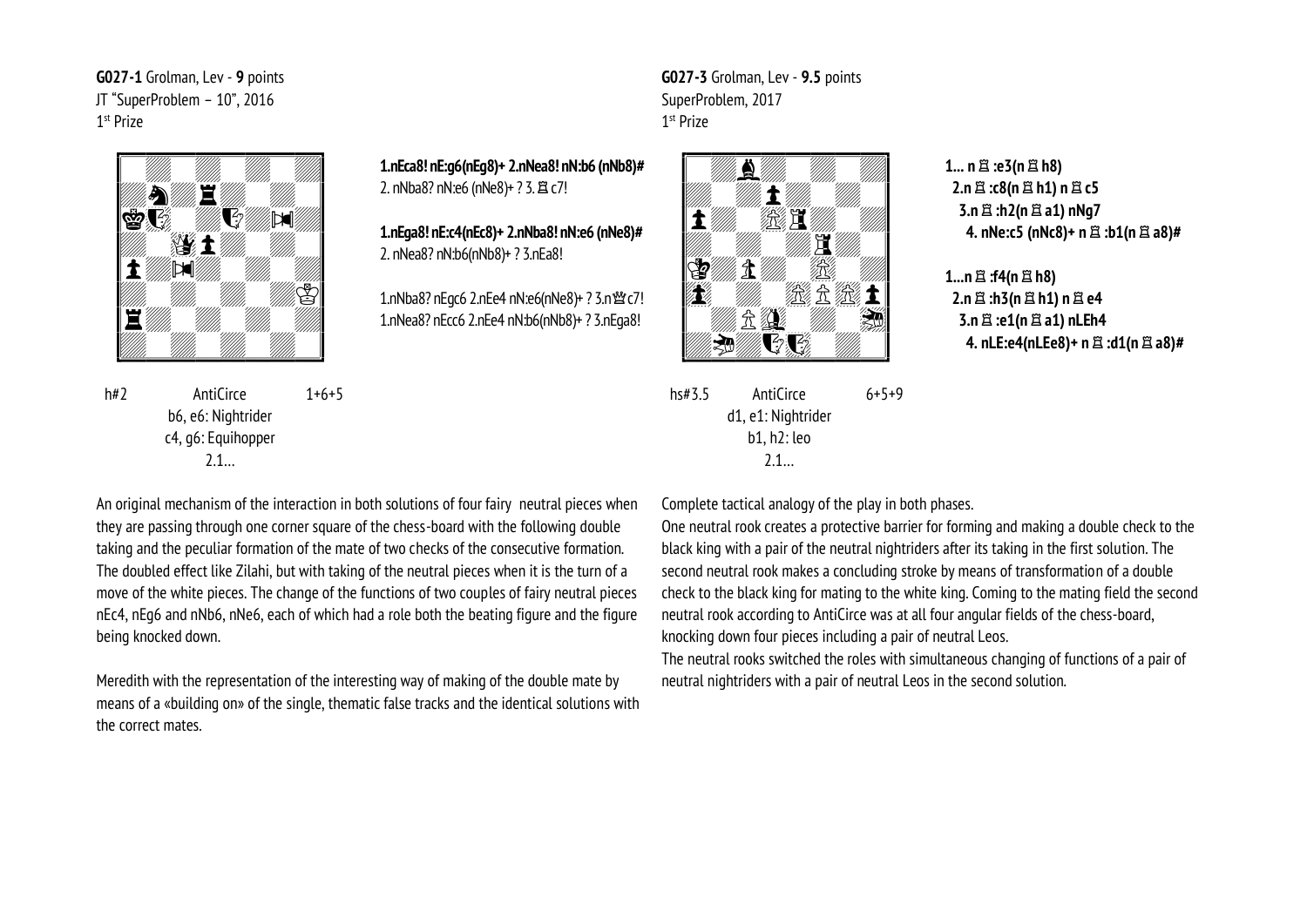G027-1 Grolman, Lev - 9 points JT "SuperProblem - 10", 2016 1<sup>st</sup> Prize



 $h#2$ AntiCirce  $1+6+5$ b6, e6: Nightrider c4, q6: Equihopper  $2.1...$ 

1.nEca8! nE:q6(nEq8)+ 2.nNea8! nN:b6 (nNb8)# 2. nNba8? nN:e6 (nNe8)+ ? 3. 骂 c7!

1.nEga8! nE:c4(nEc8)+ 2.nNba8! nN:e6 (nNe8)# 2. nNea8? nN:b6(nNb8)+ ? 3.nEa8!

1.nNba8? nEqc6 2.nEe4 nN:e6(nNe8)+ ? 3.n 營 c7! 1.nNea8? nEcc6 2.nEe4 nN:b6(nNb8)+ ? 3.nEga8!



G027-3 Grolman, Lev - 9.5 points

SuperProblem, 2017

1<sup>st</sup> Prize

AntiCirce  $hs#3.5$  $6 + 5 + 9$ d1, e1: Nightrider  $b1. h2:$ leo  $2.1...$ 

 $1...$  n  $\mathbb{Z}$  :e3(n  $\mathbb{Z}$  h8) 2.n 盒:c8(n 0 h1) n 8 c5 3.n 盒:h2(n 盒 a1) nNg7 4. nNe:c5 (nNc8)+ n  $\Xi$  :b1(n  $\Xi$  a8)#

 $1...n \nleftrightarrow$ : f4(n  $\nleftrightarrow$  h8)  $2.n \nleftrightarrow n3(n \nleftrightarrow n1) n \nleftrightarrow n4$ 3.n  $\Xi$  :e1(n  $\Xi$  a1) nLEh4 4. nLE:e4(nLEe8)+ n  $\Xi$  :d1(n  $\Xi$  a8)#

An original mechanism of the interaction in both solutions of four fairy neutral pieces when they are passing through one corner square of the chess-board with the following double taking and the peculiar formation of the mate of two checks of the consecutive formation. The doubled effect like Zilahi, but with taking of the neutral pieces when it is the turn of a move of the white pieces. The change of the functions of two couples of fairy neutral pieces nEc4, nEq6 and nNb6, nNe6, each of which had a role both the beating figure and the figure being knocked down.

Meredith with the representation of the interesting way of making of the double mate by means of a «building on» of the single, thematic false tracks and the identical solutions with the correct mates

Complete tactical analogy of the play in both phases.

One neutral rook creates a protective barrier for forming and making a double check to the black king with a pair of the neutral nightriders after its taking in the first solution. The second neutral rook makes a concluding stroke by means of transformation of a double check to the black king for mating to the white king. Coming to the mating field the second neutral rook according to AntiCirce was at all four angular fields of the chess-board. knocking down four pieces including a pair of neutral Leos.

The neutral rooks switched the roles with simultaneous changing of functions of a pair of neutral nightriders with a pair of neutral Leos in the second solution.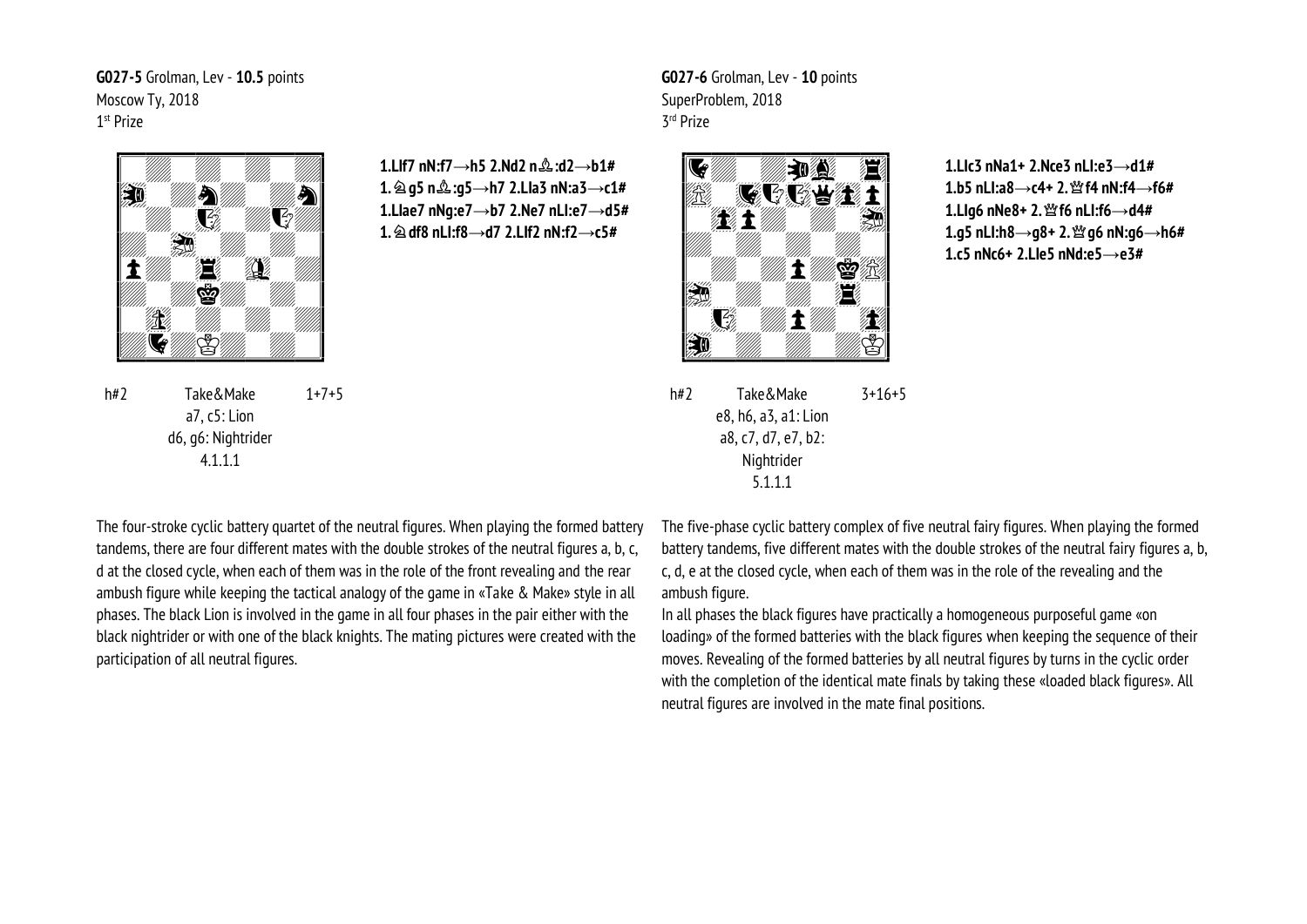G027-5 Grolman, Lev - 10.5 points Moscow Ty, 2018 1<sup>st</sup> Prize



1.LIf7 nN:f7 $\rightarrow$ h5 2.Nd2 n $\&$ :d2 $\rightarrow$ b1# 1.  $\hat{\otimes}$  g5 n $\hat{\otimes}$ :g5 $\rightarrow$ h7 2.Lla3 nN:a3 $\rightarrow$ c1# 1.Llae7 nNg:e7 $\rightarrow$ b7 2.Ne7 nLl:e7 $\rightarrow$ d5# 1.  $\hat{\otimes}$  df8 nLI:f8 $\rightarrow$ d7 2.LIf2 nN:f2 $\rightarrow$ c5#

 $h#2$ Take&Make  $1+7+5$ a7. c5: Lion d6, q6: Nightrider  $4.1.1.1$ 

G027-6 Grolman, Lev - 10 points SuperProblem, 2018 3rd Prize



1.Llc3 nNa1+ 2.Nce3 nLI:e3 $\rightarrow$ d1# 1.b5 nLI:a8 $\rightarrow$ c4+ 2. $\mathcal{W}$ f4 nN:f4 $\rightarrow$ f6# 1.Llg6 nNe8+ 2. <a> 1</a> f6 nLl:f6  $\rightarrow$  d4# 1.g5 nLI:h8 $\rightarrow$ g8+ 2. $\mathfrak{B}$ g6 nN:g6 $\rightarrow$ h6# 1.c5 nNc6+ 2.Lle5 nNd:e5 $\rightarrow$ e3#

Take&Make  $h#2$  $3+16+5$ e8, h6, a3, a1: Lion a8, c7, d7, e7, b2: Nightrider  $5.1.1.1$ 

The four-stroke cyclic battery quartet of the neutral figures. When playing the formed battery tandems, there are four different mates with the double strokes of the neutral figures a, b, c, d at the closed cycle, when each of them was in the role of the front revealing and the rear ambush figure while keeping the tactical analogy of the game in «Take & Make» style in all phases. The black Lion is involved in the game in all four phases in the pair either with the black nightrider or with one of the black knights. The mating pictures were created with the participation of all neutral figures.

The five-phase cyclic battery complex of five neutral fairy figures. When playing the formed battery tandems, five different mates with the double strokes of the neutral fairy figures a, b. c. d. e at the closed cycle, when each of them was in the role of the revealing and the ambush figure.

In all phases the black figures have practically a homogeneous purposeful game «on loading» of the formed batteries with the black figures when keeping the sequence of their moves. Revealing of the formed batteries by all neutral figures by turns in the cyclic order with the completion of the identical mate finals by taking these «loaded black figures». All neutral figures are involved in the mate final positions.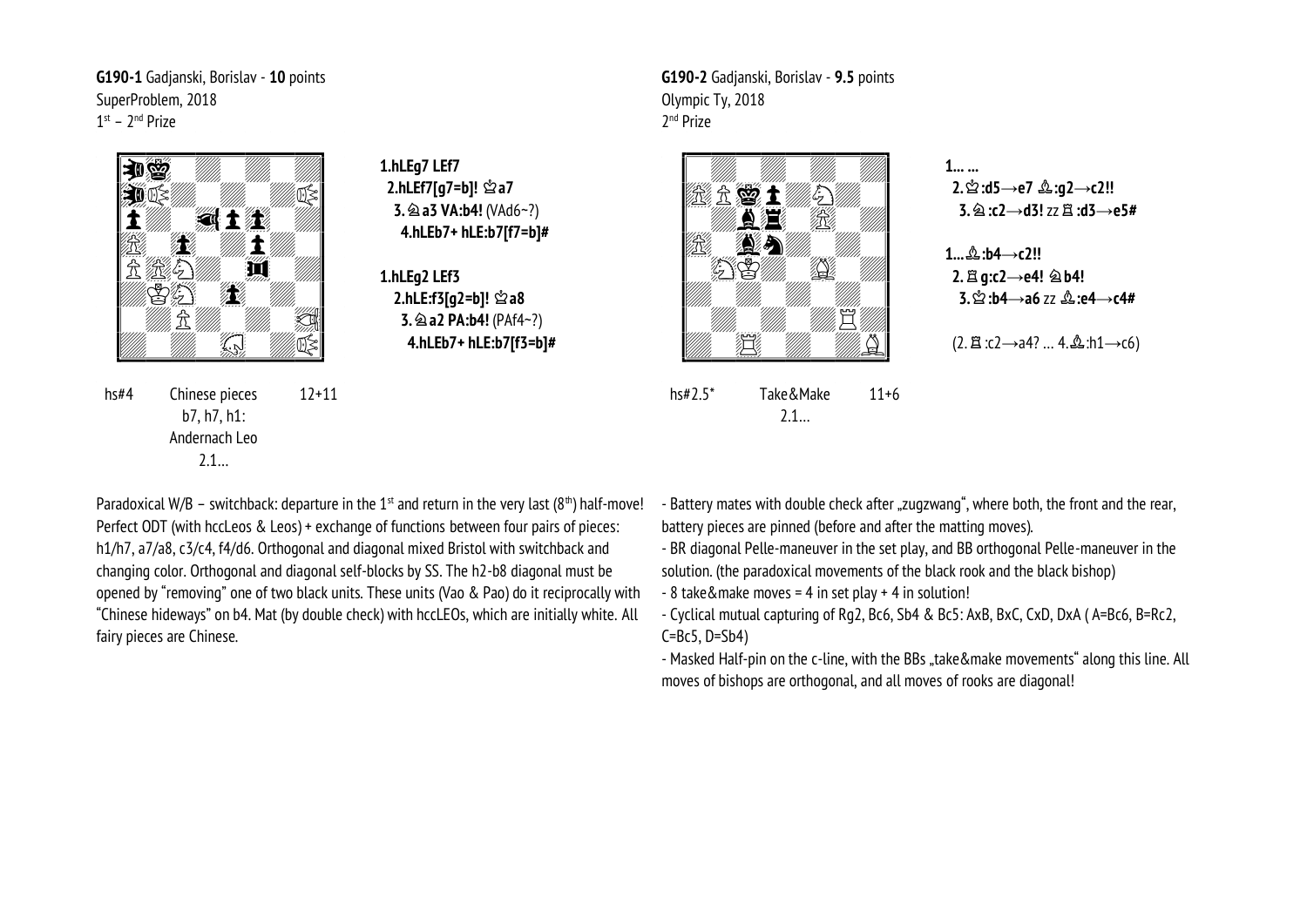**G190-1** Gadjanski, Borislav - **10** points SuperProblem, 2018 1<sup>st</sup> – 2<sup>nd</sup> Prize



b7, h7, h1: Andernach Leo 2.1…

**1.hLEg7 LEf7 2.hLEf7[g7=b]!** u**a7 3. @ a3 VA:b4!** (VAd6~?)  **4.hLEb7+ hLE:b7[f7=b]#**

**1.hLEg2 LEf3 2.hLE:f3[g2=b]!** u**a8 3. @ a2 PA:b4!** (PAf4~?)  **4.hLEb7+ hLE:b7[f3=b]#** **G190-2** Gadjanski, Borislav - **9.5** points Olympic Ty, 2018 2 nd Prize



hs#2.5\* Take&Make 2.1… 11+6 **1... ... 2.**u**:d5→e7** o**:g2→c2!! 3.**m**:c2→d3!** zzq**:d3→e5#**

**1...**o**:b4→c2!! 2.**q**g:c2→e4!** m**b4! 3.**u**:b4→a6** zz o**:e4→c4#**

(2. □ :c2→a4? … 4. **△**:h1→c6)

Paradoxical W/B – switchback: departure in the 1<sup>st</sup> and return in the very last (8<sup>th</sup>) half-move! Perfect ODT (with hccLeos & Leos) + exchange of functions between four pairs of pieces: h1/h7, a7/a8, c3/c4, f4/d6. Orthogonal and diagonal mixed Bristol with switchback and changing color. Orthogonal and diagonal self-blocks by SS. The h2-b8 diagonal must be opened by "removing" one of two black units. These units (Vao & Pao) do it reciprocally with "Chinese hideways" on b4. Mat (by double check) with hccLEOs, which are initially white. All fairy pieces are Chinese.

- Battery mates with double check after "zugzwang", where both, the front and the rear, battery pieces are pinned (before and after the matting moves).

- BR diagonal Pelle-maneuver in the set play, and BB orthogonal Pelle-maneuver in the solution. (the paradoxical movements of the black rook and the black bishop)

- 8 take&make moves = 4 in set play + 4 in solution!

- Cyclical mutual capturing of Rg2, Bc6, Sb4 & Bc5: AxB, BxC, CxD, DxA ( A=Bc6, B=Rc2,  $C=BC5, D=Sb4$ 

- Masked Half-pin on the c-line, with the BBs "take&make movements" along this line. All moves of bishops are orthogonal, and all moves of rooks are diagonal!